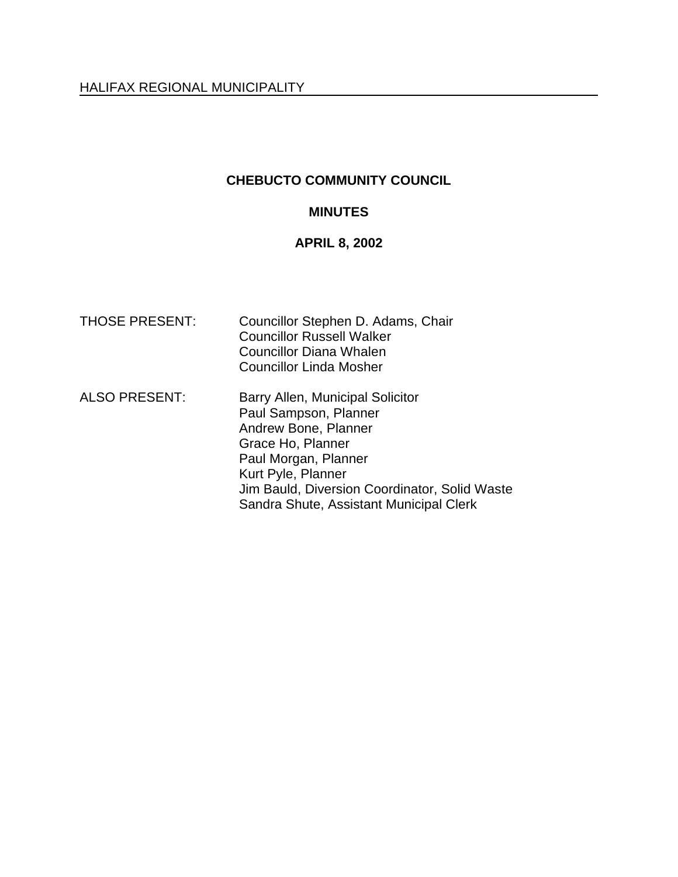# **CHEBUCTO COMMUNITY COUNCIL**

# **MINUTES**

# **APRIL 8, 2002**

| <b>THOSE PRESENT:</b> | Councillor Stephen D. Adams, Chair<br><b>Councillor Russell Walker</b><br><b>Councillor Diana Whalen</b><br><b>Councillor Linda Mosher</b>                                                                                                       |
|-----------------------|--------------------------------------------------------------------------------------------------------------------------------------------------------------------------------------------------------------------------------------------------|
| <b>ALSO PRESENT:</b>  | Barry Allen, Municipal Solicitor<br>Paul Sampson, Planner<br>Andrew Bone, Planner<br>Grace Ho, Planner<br>Paul Morgan, Planner<br>Kurt Pyle, Planner<br>Jim Bauld, Diversion Coordinator, Solid Waste<br>Sandra Shute, Assistant Municipal Clerk |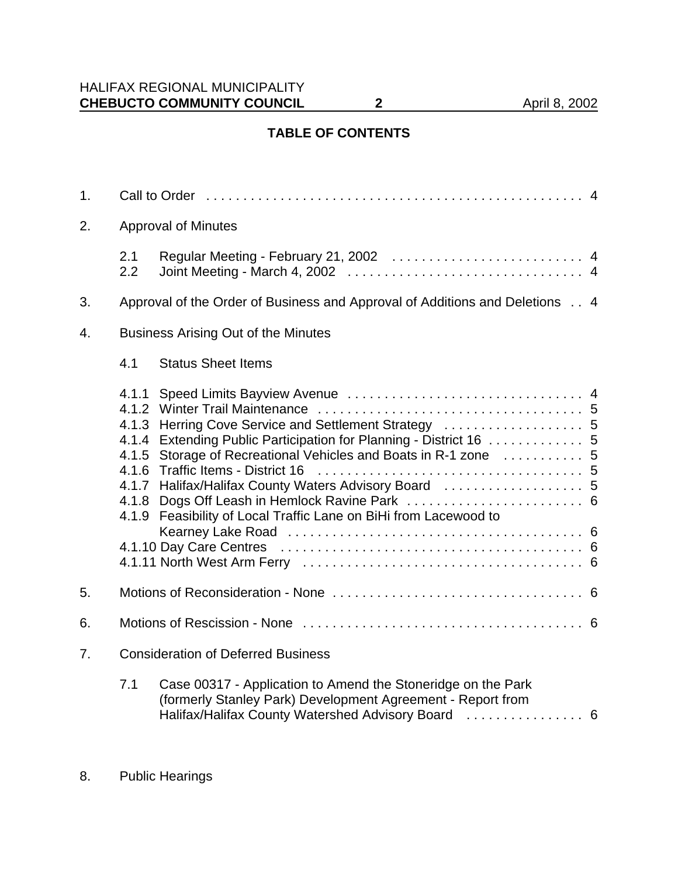# **TABLE OF CONTENTS**

| 1.             |                                            |                                                                                                                                                                                                                                                                                                                                                |  |  |
|----------------|--------------------------------------------|------------------------------------------------------------------------------------------------------------------------------------------------------------------------------------------------------------------------------------------------------------------------------------------------------------------------------------------------|--|--|
| 2.             | <b>Approval of Minutes</b>                 |                                                                                                                                                                                                                                                                                                                                                |  |  |
|                | 2.1<br>2.2                                 |                                                                                                                                                                                                                                                                                                                                                |  |  |
| 3.             |                                            | Approval of the Order of Business and Approval of Additions and Deletions 4                                                                                                                                                                                                                                                                    |  |  |
| 4.             | <b>Business Arising Out of the Minutes</b> |                                                                                                                                                                                                                                                                                                                                                |  |  |
|                | 4.1                                        | <b>Status Sheet Items</b>                                                                                                                                                                                                                                                                                                                      |  |  |
|                | 4.1.1<br>4.1.5<br>4.1.7<br>4.1.8<br>4.1.9  | 4.1.3 Herring Cove Service and Settlement Strategy  5<br>4.1.4 Extending Public Participation for Planning - District 16  5<br>Storage of Recreational Vehicles and Boats in R-1 zone  5<br>4.1.6 Traffic Items - District 16<br>Halifax/Halifax County Waters Advisory Board  5<br>Feasibility of Local Traffic Lane on BiHi from Lacewood to |  |  |
| 5.             |                                            |                                                                                                                                                                                                                                                                                                                                                |  |  |
| 6.             |                                            |                                                                                                                                                                                                                                                                                                                                                |  |  |
| 7 <sub>1</sub> | <b>Consideration of Deferred Business</b>  |                                                                                                                                                                                                                                                                                                                                                |  |  |
|                | 7.1                                        | Case 00317 - Application to Amend the Stoneridge on the Park<br>(formerly Stanley Park) Development Agreement - Report from<br>Halifax/Halifax County Watershed Advisory Board  6                                                                                                                                                              |  |  |

8. Public Hearings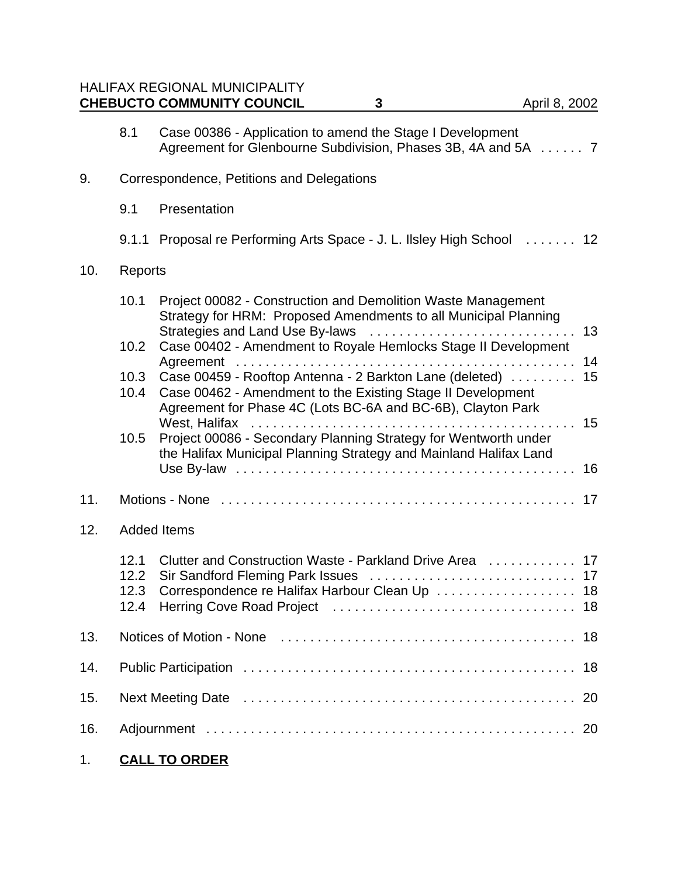|     |                      | <b>HALIFAX REGIONAL MUNICIPALITY</b><br><b>CHEBUCTO COMMUNITY COUNCIL</b><br>3                                                                                                                                                       | April 8, 2002  |  |  |
|-----|----------------------|--------------------------------------------------------------------------------------------------------------------------------------------------------------------------------------------------------------------------------------|----------------|--|--|
|     | 8.1                  | Case 00386 - Application to amend the Stage I Development<br>Agreement for Glenbourne Subdivision, Phases 3B, 4A and 5A  7                                                                                                           |                |  |  |
| 9.  |                      | Correspondence, Petitions and Delegations                                                                                                                                                                                            |                |  |  |
|     | 9.1                  | Presentation                                                                                                                                                                                                                         |                |  |  |
|     |                      | 9.1.1 Proposal re Performing Arts Space - J. L. Ilsley High School  12                                                                                                                                                               |                |  |  |
| 10. | Reports              |                                                                                                                                                                                                                                      |                |  |  |
|     | 10.1<br>10.2         | Project 00082 - Construction and Demolition Waste Management<br>Strategy for HRM: Proposed Amendments to all Municipal Planning<br>Strategies and Land Use By-laws<br>Case 00402 - Amendment to Royale Hemlocks Stage II Development | 13<br>14       |  |  |
|     | 10.3<br>10.4         | Case 00459 - Rooftop Antenna - 2 Barkton Lane (deleted)<br>Case 00462 - Amendment to the Existing Stage II Development<br>Agreement for Phase 4C (Lots BC-6A and BC-6B), Clayton Park                                                | 15<br>15       |  |  |
|     | 10.5                 | Project 00086 - Secondary Planning Strategy for Wentworth under<br>the Halifax Municipal Planning Strategy and Mainland Halifax Land                                                                                                 | 16             |  |  |
| 11. |                      |                                                                                                                                                                                                                                      |                |  |  |
| 12. |                      | <b>Added Items</b>                                                                                                                                                                                                                   |                |  |  |
|     | 12.1<br>12.3<br>12.4 | Clutter and Construction Waste - Parkland Drive Area<br>Correspondence re Halifax Harbour Clean Up  18                                                                                                                               | 17<br>17<br>18 |  |  |
| 13. | 18                   |                                                                                                                                                                                                                                      |                |  |  |
| 14. | 18                   |                                                                                                                                                                                                                                      |                |  |  |
| 15. | 20                   |                                                                                                                                                                                                                                      |                |  |  |
| 16. |                      |                                                                                                                                                                                                                                      |                |  |  |

1. **CALL TO ORDER**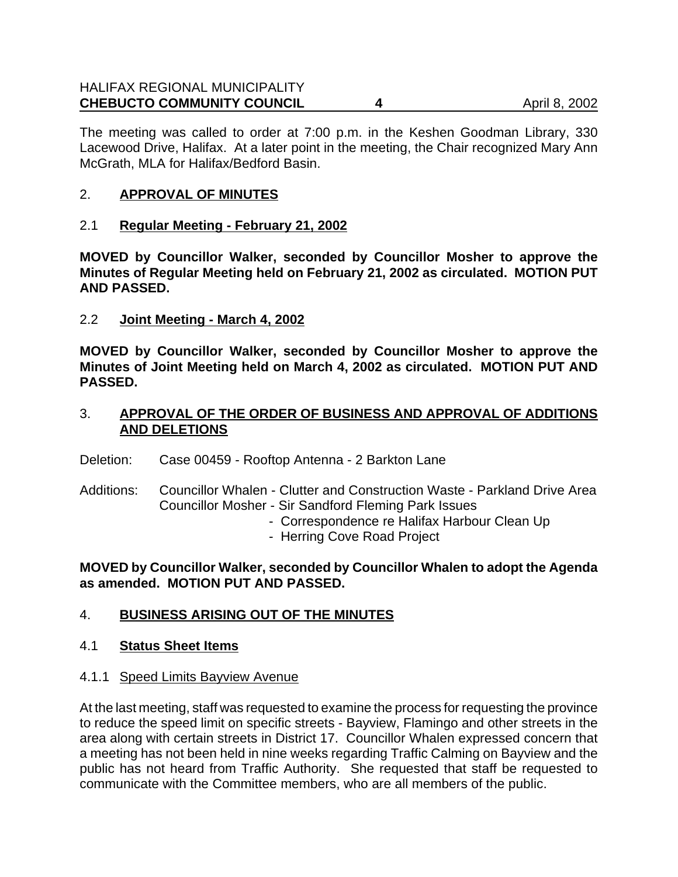#### HALIFAX REGIONAL MUNICIPALITY **CHEBUCTO COMMUNITY COUNCIL 4** 4 April 8, 2002

The meeting was called to order at 7:00 p.m. in the Keshen Goodman Library, 330 Lacewood Drive, Halifax. At a later point in the meeting, the Chair recognized Mary Ann McGrath, MLA for Halifax/Bedford Basin.

### 2. **APPROVAL OF MINUTES**

2.1 **Regular Meeting - February 21, 2002**

**MOVED by Councillor Walker, seconded by Councillor Mosher to approve the Minutes of Regular Meeting held on February 21, 2002 as circulated. MOTION PUT AND PASSED.**

2.2 **Joint Meeting - March 4, 2002**

**MOVED by Councillor Walker, seconded by Councillor Mosher to approve the Minutes of Joint Meeting held on March 4, 2002 as circulated. MOTION PUT AND PASSED.**

3. **APPROVAL OF THE ORDER OF BUSINESS AND APPROVAL OF ADDITIONS AND DELETIONS**

Deletion: Case 00459 - Rooftop Antenna - 2 Barkton Lane

- Additions: Councillor Whalen Clutter and Construction Waste Parkland Drive Area Councillor Mosher - Sir Sandford Fleming Park Issues
	- Correspondence re Halifax Harbour Clean Up
	- Herring Cove Road Project

**MOVED by Councillor Walker, seconded by Councillor Whalen to adopt the Agenda as amended. MOTION PUT AND PASSED.**

# 4. **BUSINESS ARISING OUT OF THE MINUTES**

- 4.1 **Status Sheet Items**
- 4.1.1 Speed Limits Bayview Avenue

At the last meeting, staff was requested to examine the process for requesting the province to reduce the speed limit on specific streets - Bayview, Flamingo and other streets in the area along with certain streets in District 17. Councillor Whalen expressed concern that a meeting has not been held in nine weeks regarding Traffic Calming on Bayview and the public has not heard from Traffic Authority. She requested that staff be requested to communicate with the Committee members, who are all members of the public.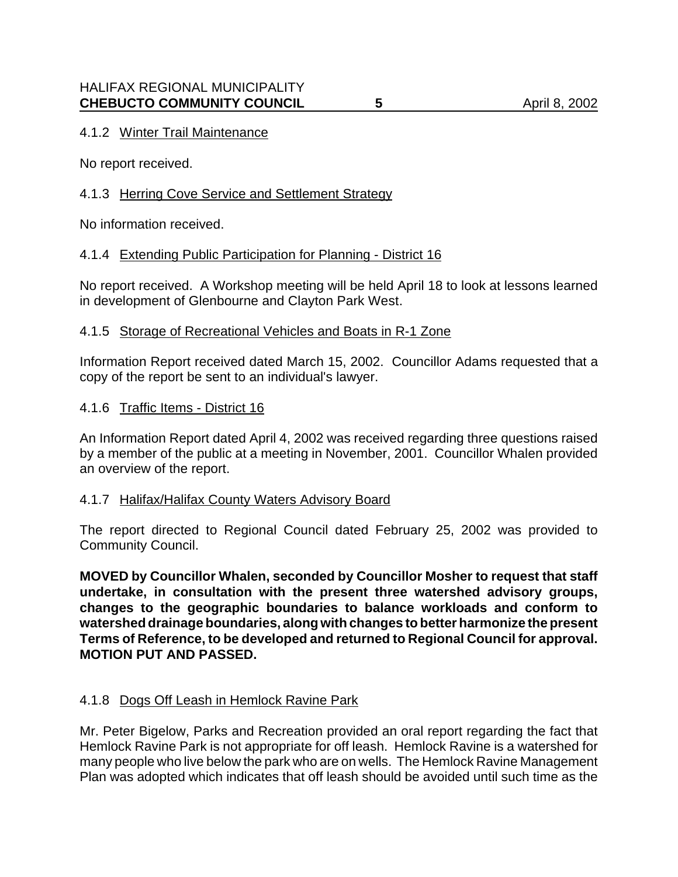# 4.1.2 Winter Trail Maintenance

No report received.

# 4.1.3 Herring Cove Service and Settlement Strategy

No information received.

# 4.1.4 Extending Public Participation for Planning - District 16

No report received. A Workshop meeting will be held April 18 to look at lessons learned in development of Glenbourne and Clayton Park West.

### 4.1.5 Storage of Recreational Vehicles and Boats in R-1 Zone

Information Report received dated March 15, 2002. Councillor Adams requested that a copy of the report be sent to an individual's lawyer.

#### 4.1.6 Traffic Items - District 16

An Information Report dated April 4, 2002 was received regarding three questions raised by a member of the public at a meeting in November, 2001. Councillor Whalen provided an overview of the report.

### 4.1.7 Halifax/Halifax County Waters Advisory Board

The report directed to Regional Council dated February 25, 2002 was provided to Community Council.

**MOVED by Councillor Whalen, seconded by Councillor Mosher to request that staff undertake, in consultation with the present three watershed advisory groups, changes to the geographic boundaries to balance workloads and conform to watershed drainage boundaries, along with changes to better harmonize the present Terms of Reference, to be developed and returned to Regional Council for approval. MOTION PUT AND PASSED.**

### 4.1.8 Dogs Off Leash in Hemlock Ravine Park

Mr. Peter Bigelow, Parks and Recreation provided an oral report regarding the fact that Hemlock Ravine Park is not appropriate for off leash. Hemlock Ravine is a watershed for many people who live below the park who are on wells. The Hemlock Ravine Management Plan was adopted which indicates that off leash should be avoided until such time as the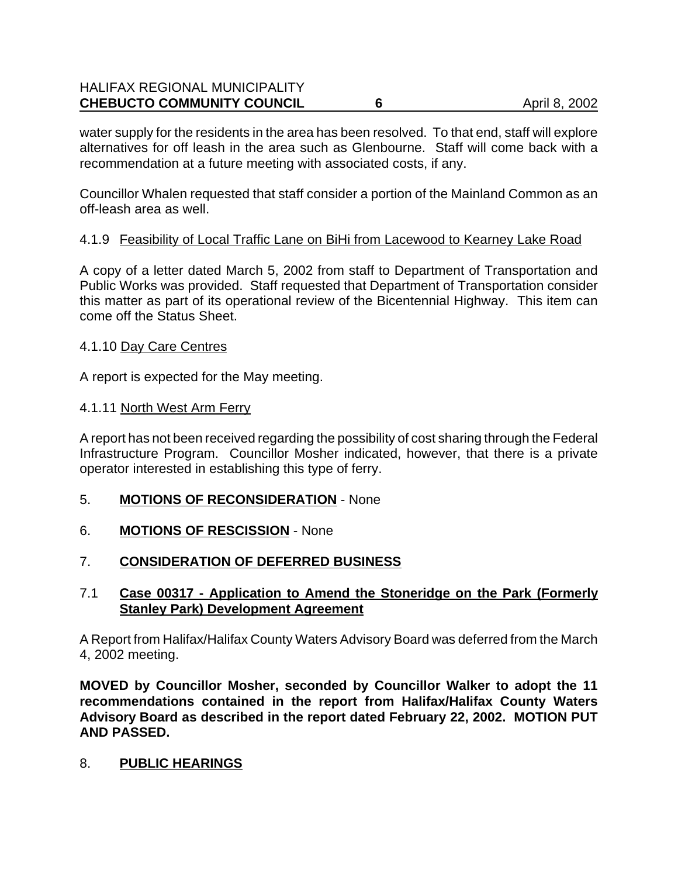# HALIFAX REGIONAL MUNICIPALITY **CHEBUCTO COMMUNITY COUNCIL 6** 6 April 8, 2002

water supply for the residents in the area has been resolved. To that end, staff will explore alternatives for off leash in the area such as Glenbourne. Staff will come back with a recommendation at a future meeting with associated costs, if any.

Councillor Whalen requested that staff consider a portion of the Mainland Common as an off-leash area as well.

#### 4.1.9 Feasibility of Local Traffic Lane on BiHi from Lacewood to Kearney Lake Road

A copy of a letter dated March 5, 2002 from staff to Department of Transportation and Public Works was provided. Staff requested that Department of Transportation consider this matter as part of its operational review of the Bicentennial Highway. This item can come off the Status Sheet.

#### 4.1.10 Day Care Centres

A report is expected for the May meeting.

#### 4.1.11 North West Arm Ferry

A report has not been received regarding the possibility of cost sharing through the Federal Infrastructure Program. Councillor Mosher indicated, however, that there is a private operator interested in establishing this type of ferry.

- 5. **MOTIONS OF RECONSIDERATION** None
- 6. **MOTIONS OF RESCISSION** None

### 7. **CONSIDERATION OF DEFERRED BUSINESS**

### 7.1 **Case 00317 - Application to Amend the Stoneridge on the Park (Formerly Stanley Park) Development Agreement**

A Report from Halifax/Halifax County Waters Advisory Board was deferred from the March 4, 2002 meeting.

**MOVED by Councillor Mosher, seconded by Councillor Walker to adopt the 11 recommendations contained in the report from Halifax/Halifax County Waters Advisory Board as described in the report dated February 22, 2002. MOTION PUT AND PASSED.**

#### 8. **PUBLIC HEARINGS**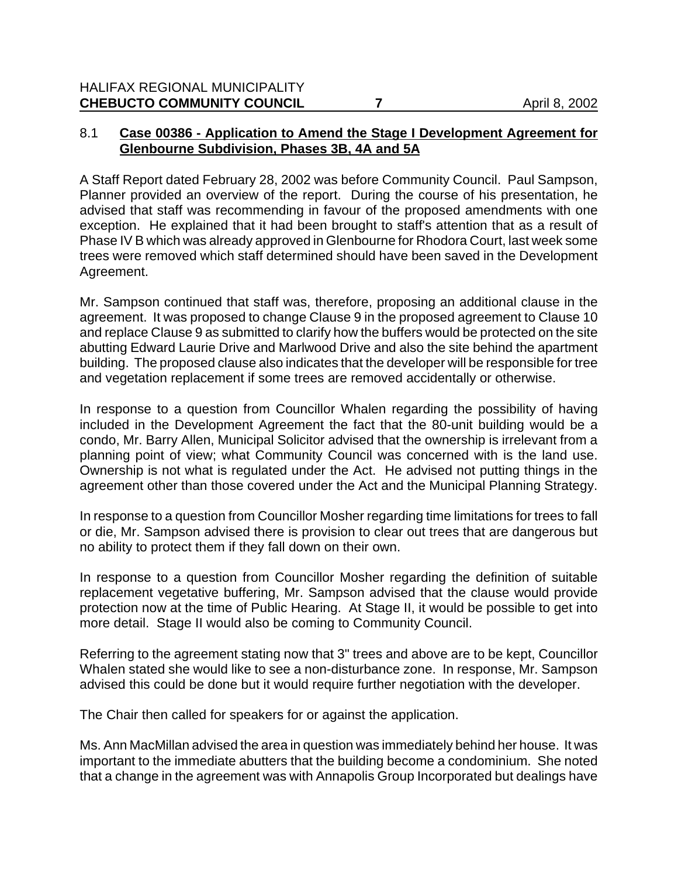# 8.1 **Case 00386 - Application to Amend the Stage I Development Agreement for Glenbourne Subdivision, Phases 3B, 4A and 5A**

A Staff Report dated February 28, 2002 was before Community Council. Paul Sampson, Planner provided an overview of the report. During the course of his presentation, he advised that staff was recommending in favour of the proposed amendments with one exception. He explained that it had been brought to staff's attention that as a result of Phase IV B which was already approved in Glenbourne for Rhodora Court, last week some trees were removed which staff determined should have been saved in the Development Agreement.

Mr. Sampson continued that staff was, therefore, proposing an additional clause in the agreement. It was proposed to change Clause 9 in the proposed agreement to Clause 10 and replace Clause 9 as submitted to clarify how the buffers would be protected on the site abutting Edward Laurie Drive and Marlwood Drive and also the site behind the apartment building. The proposed clause also indicates that the developer will be responsible for tree and vegetation replacement if some trees are removed accidentally or otherwise.

In response to a question from Councillor Whalen regarding the possibility of having included in the Development Agreement the fact that the 80-unit building would be a condo, Mr. Barry Allen, Municipal Solicitor advised that the ownership is irrelevant from a planning point of view; what Community Council was concerned with is the land use. Ownership is not what is regulated under the Act. He advised not putting things in the agreement other than those covered under the Act and the Municipal Planning Strategy.

In response to a question from Councillor Mosher regarding time limitations for trees to fall or die, Mr. Sampson advised there is provision to clear out trees that are dangerous but no ability to protect them if they fall down on their own.

In response to a question from Councillor Mosher regarding the definition of suitable replacement vegetative buffering, Mr. Sampson advised that the clause would provide protection now at the time of Public Hearing. At Stage II, it would be possible to get into more detail. Stage II would also be coming to Community Council.

Referring to the agreement stating now that 3" trees and above are to be kept, Councillor Whalen stated she would like to see a non-disturbance zone. In response, Mr. Sampson advised this could be done but it would require further negotiation with the developer.

The Chair then called for speakers for or against the application.

Ms. Ann MacMillan advised the area in question was immediately behind her house. It was important to the immediate abutters that the building become a condominium. She noted that a change in the agreement was with Annapolis Group Incorporated but dealings have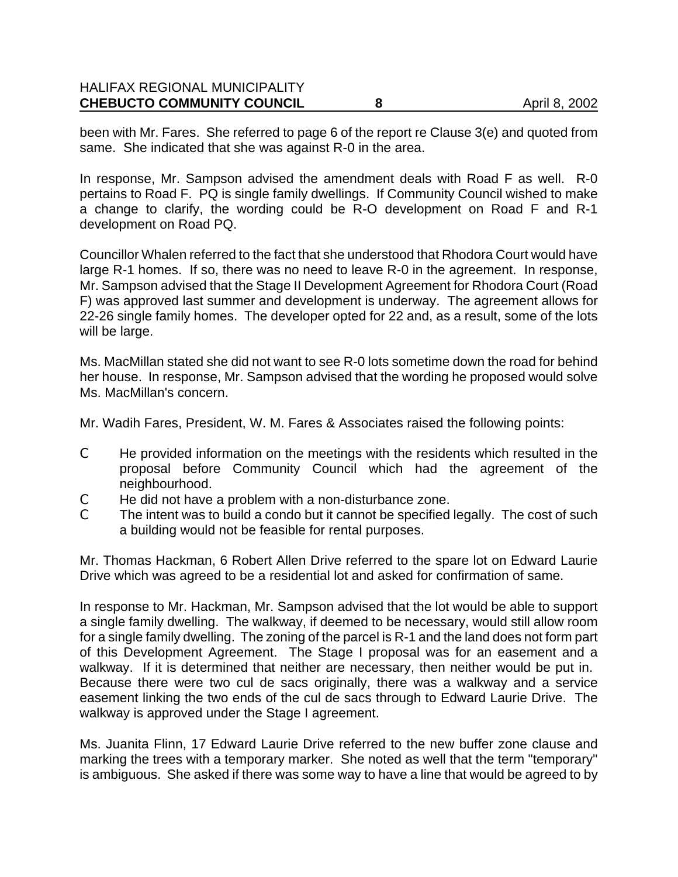#### HALIFAX REGIONAL MUNICIPALITY **CHEBUCTO COMMUNITY COUNCIL 8** 8 April 8, 2002

been with Mr. Fares. She referred to page 6 of the report re Clause 3(e) and quoted from same. She indicated that she was against R-0 in the area.

In response, Mr. Sampson advised the amendment deals with Road F as well. R-0 pertains to Road F. PQ is single family dwellings. If Community Council wished to make a change to clarify, the wording could be R-O development on Road F and R-1 development on Road PQ.

Councillor Whalen referred to the fact that she understood that Rhodora Court would have large R-1 homes. If so, there was no need to leave R-0 in the agreement. In response, Mr. Sampson advised that the Stage II Development Agreement for Rhodora Court (Road F) was approved last summer and development is underway. The agreement allows for 22-26 single family homes. The developer opted for 22 and, as a result, some of the lots will be large.

Ms. MacMillan stated she did not want to see R-0 lots sometime down the road for behind her house. In response, Mr. Sampson advised that the wording he proposed would solve Ms. MacMillan's concern.

Mr. Wadih Fares, President, W. M. Fares & Associates raised the following points:

- C He provided information on the meetings with the residents which resulted in the proposal before Community Council which had the agreement of the neighbourhood.
- $\mathcal{C}$  He did not have a problem with a non-disturbance zone.<br> $\mathcal{C}$  The intent was to build a condo but it cannot be specified
- The intent was to build a condo but it cannot be specified legally. The cost of such a building would not be feasible for rental purposes.

Mr. Thomas Hackman, 6 Robert Allen Drive referred to the spare lot on Edward Laurie Drive which was agreed to be a residential lot and asked for confirmation of same.

In response to Mr. Hackman, Mr. Sampson advised that the lot would be able to support a single family dwelling. The walkway, if deemed to be necessary, would still allow room for a single family dwelling. The zoning of the parcel is R-1 and the land does not form part of this Development Agreement. The Stage I proposal was for an easement and a walkway. If it is determined that neither are necessary, then neither would be put in. Because there were two cul de sacs originally, there was a walkway and a service easement linking the two ends of the cul de sacs through to Edward Laurie Drive. The walkway is approved under the Stage I agreement.

Ms. Juanita Flinn, 17 Edward Laurie Drive referred to the new buffer zone clause and marking the trees with a temporary marker. She noted as well that the term "temporary" is ambiguous. She asked if there was some way to have a line that would be agreed to by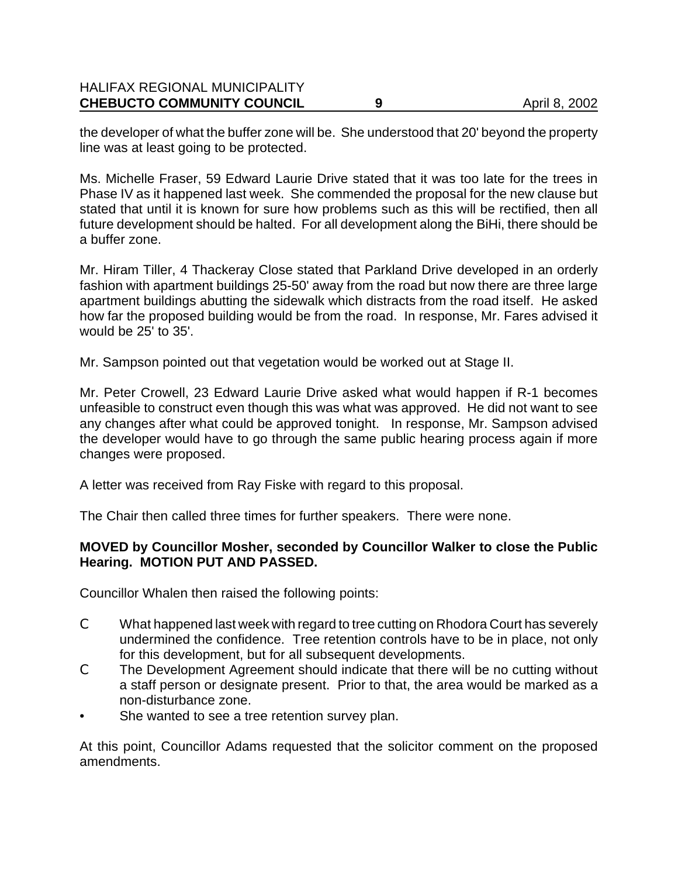#### HALIFAX REGIONAL MUNICIPALITY **CHEBUCTO COMMUNITY COUNCIL 9** 9 April 8, 2002

the developer of what the buffer zone will be. She understood that 20' beyond the property line was at least going to be protected.

Ms. Michelle Fraser, 59 Edward Laurie Drive stated that it was too late for the trees in Phase IV as it happened last week. She commended the proposal for the new clause but stated that until it is known for sure how problems such as this will be rectified, then all future development should be halted. For all development along the BiHi, there should be a buffer zone.

Mr. Hiram Tiller, 4 Thackeray Close stated that Parkland Drive developed in an orderly fashion with apartment buildings 25-50' away from the road but now there are three large apartment buildings abutting the sidewalk which distracts from the road itself. He asked how far the proposed building would be from the road. In response, Mr. Fares advised it would be 25' to 35'.

Mr. Sampson pointed out that vegetation would be worked out at Stage II.

Mr. Peter Crowell, 23 Edward Laurie Drive asked what would happen if R-1 becomes unfeasible to construct even though this was what was approved. He did not want to see any changes after what could be approved tonight. In response, Mr. Sampson advised the developer would have to go through the same public hearing process again if more changes were proposed.

A letter was received from Ray Fiske with regard to this proposal.

The Chair then called three times for further speakers. There were none.

### **MOVED by Councillor Mosher, seconded by Councillor Walker to close the Public Hearing. MOTION PUT AND PASSED.**

Councillor Whalen then raised the following points:

- C What happened last week with regard to tree cutting on Rhodora Court has severely undermined the confidence. Tree retention controls have to be in place, not only for this development, but for all subsequent developments.
- C The Development Agreement should indicate that there will be no cutting without a staff person or designate present. Prior to that, the area would be marked as a non-disturbance zone.
- She wanted to see a tree retention survey plan.

At this point, Councillor Adams requested that the solicitor comment on the proposed amendments.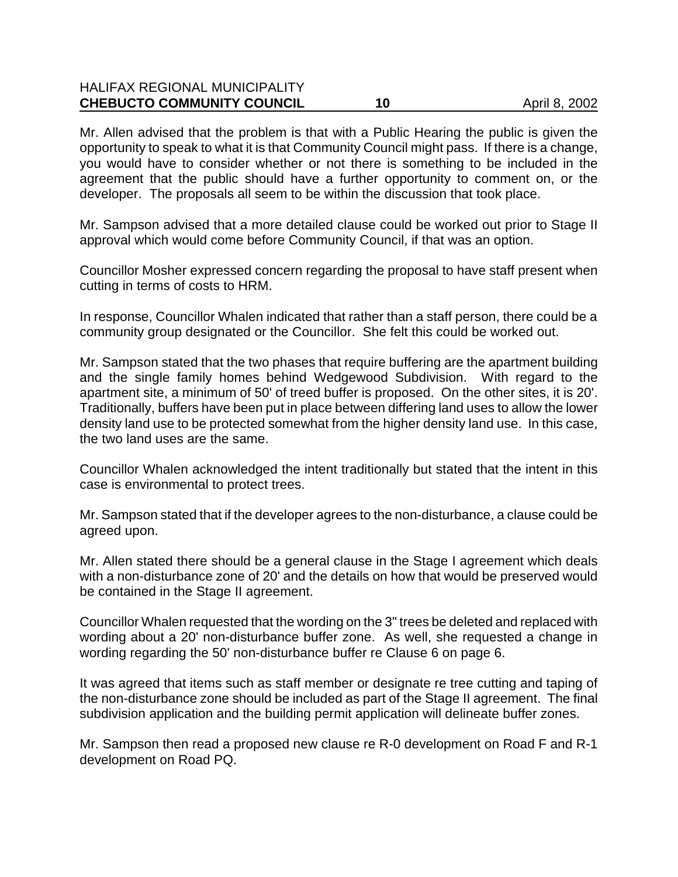# HALIFAX REGIONAL MUNICIPALITY **CHEBUCTO COMMUNITY COUNCIL 10** 10 April 8, 2002

Mr. Allen advised that the problem is that with a Public Hearing the public is given the opportunity to speak to what it is that Community Council might pass. If there is a change, you would have to consider whether or not there is something to be included in the agreement that the public should have a further opportunity to comment on, or the developer. The proposals all seem to be within the discussion that took place.

Mr. Sampson advised that a more detailed clause could be worked out prior to Stage II approval which would come before Community Council, if that was an option.

Councillor Mosher expressed concern regarding the proposal to have staff present when cutting in terms of costs to HRM.

In response, Councillor Whalen indicated that rather than a staff person, there could be a community group designated or the Councillor. She felt this could be worked out.

Mr. Sampson stated that the two phases that require buffering are the apartment building and the single family homes behind Wedgewood Subdivision. With regard to the apartment site, a minimum of 50' of treed buffer is proposed. On the other sites, it is 20'. Traditionally, buffers have been put in place between differing land uses to allow the lower density land use to be protected somewhat from the higher density land use. In this case, the two land uses are the same.

Councillor Whalen acknowledged the intent traditionally but stated that the intent in this case is environmental to protect trees.

Mr. Sampson stated that if the developer agrees to the non-disturbance, a clause could be agreed upon.

Mr. Allen stated there should be a general clause in the Stage I agreement which deals with a non-disturbance zone of 20' and the details on how that would be preserved would be contained in the Stage II agreement.

Councillor Whalen requested that the wording on the 3" trees be deleted and replaced with wording about a 20' non-disturbance buffer zone. As well, she requested a change in wording regarding the 50' non-disturbance buffer re Clause 6 on page 6.

It was agreed that items such as staff member or designate re tree cutting and taping of the non-disturbance zone should be included as part of the Stage II agreement. The final subdivision application and the building permit application will delineate buffer zones.

Mr. Sampson then read a proposed new clause re R-0 development on Road F and R-1 development on Road PQ.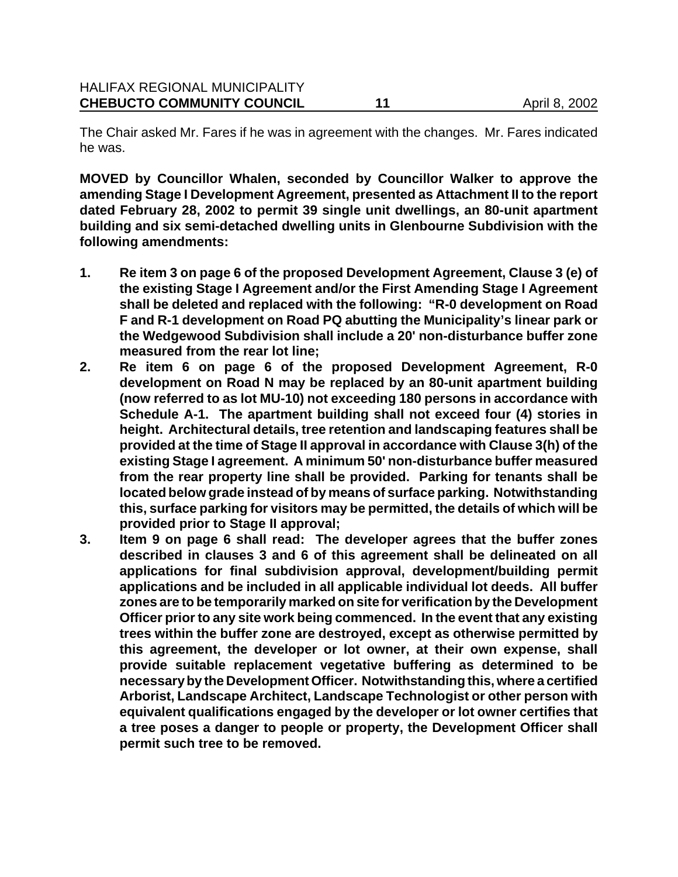The Chair asked Mr. Fares if he was in agreement with the changes. Mr. Fares indicated he was.

**MOVED by Councillor Whalen, seconded by Councillor Walker to approve the amending Stage I Development Agreement, presented as Attachment II to the report dated February 28, 2002 to permit 39 single unit dwellings, an 80-unit apartment building and six semi-detached dwelling units in Glenbourne Subdivision with the following amendments:**

- **1. Re item 3 on page 6 of the proposed Development Agreement, Clause 3 (e) of the existing Stage I Agreement and/or the First Amending Stage I Agreement shall be deleted and replaced with the following: "R-0 development on Road F and R-1 development on Road PQ abutting the Municipality's linear park or the Wedgewood Subdivision shall include a 20' non-disturbance buffer zone measured from the rear lot line;**
- **2. Re item 6 on page 6 of the proposed Development Agreement, R-0 development on Road N may be replaced by an 80-unit apartment building (now referred to as lot MU-10) not exceeding 180 persons in accordance with Schedule A-1. The apartment building shall not exceed four (4) stories in height. Architectural details, tree retention and landscaping features shall be provided at the time of Stage II approval in accordance with Clause 3(h) of the existing Stage I agreement. A minimum 50' non-disturbance buffer measured from the rear property line shall be provided. Parking for tenants shall be located below grade instead of by means of surface parking. Notwithstanding this, surface parking for visitors may be permitted, the details of which will be provided prior to Stage II approval;**
- **3. Item 9 on page 6 shall read: The developer agrees that the buffer zones described in clauses 3 and 6 of this agreement shall be delineated on all applications for final subdivision approval, development/building permit applications and be included in all applicable individual lot deeds. All buffer zones are to be temporarily marked on site for verification by the Development Officer prior to any site work being commenced. In the event that any existing trees within the buffer zone are destroyed, except as otherwise permitted by this agreement, the developer or lot owner, at their own expense, shall provide suitable replacement vegetative buffering as determined to be necessary by the Development Officer. Notwithstanding this, where a certified Arborist, Landscape Architect, Landscape Technologist or other person with equivalent qualifications engaged by the developer or lot owner certifies that a tree poses a danger to people or property, the Development Officer shall permit such tree to be removed.**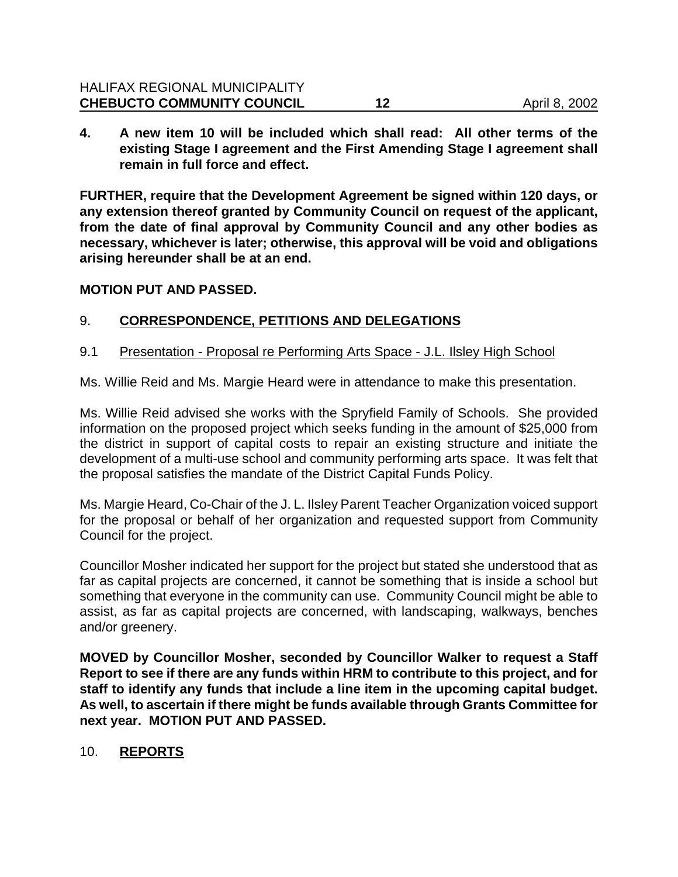# HALIFAX REGIONAL MUNICIPALITY **CHEBUCTO COMMUNITY COUNCIL 12** 12 April 8, 2002

**4. A new item 10 will be included which shall read: All other terms of the existing Stage I agreement and the First Amending Stage I agreement shall remain in full force and effect.**

**FURTHER, require that the Development Agreement be signed within 120 days, or any extension thereof granted by Community Council on request of the applicant, from the date of final approval by Community Council and any other bodies as necessary, whichever is later; otherwise, this approval will be void and obligations arising hereunder shall be at an end.** 

#### **MOTION PUT AND PASSED.**

### 9. **CORRESPONDENCE, PETITIONS AND DELEGATIONS**

9.1 Presentation - Proposal re Performing Arts Space - J.L. Ilsley High School

Ms. Willie Reid and Ms. Margie Heard were in attendance to make this presentation.

Ms. Willie Reid advised she works with the Spryfield Family of Schools. She provided information on the proposed project which seeks funding in the amount of \$25,000 from the district in support of capital costs to repair an existing structure and initiate the development of a multi-use school and community performing arts space. It was felt that the proposal satisfies the mandate of the District Capital Funds Policy.

Ms. Margie Heard, Co-Chair of the J. L. Ilsley Parent Teacher Organization voiced support for the proposal or behalf of her organization and requested support from Community Council for the project.

Councillor Mosher indicated her support for the project but stated she understood that as far as capital projects are concerned, it cannot be something that is inside a school but something that everyone in the community can use. Community Council might be able to assist, as far as capital projects are concerned, with landscaping, walkways, benches and/or greenery.

**MOVED by Councillor Mosher, seconded by Councillor Walker to request a Staff Report to see if there are any funds within HRM to contribute to this project, and for staff to identify any funds that include a line item in the upcoming capital budget. As well, to ascertain if there might be funds available through Grants Committee for next year. MOTION PUT AND PASSED.**

### 10. **REPORTS**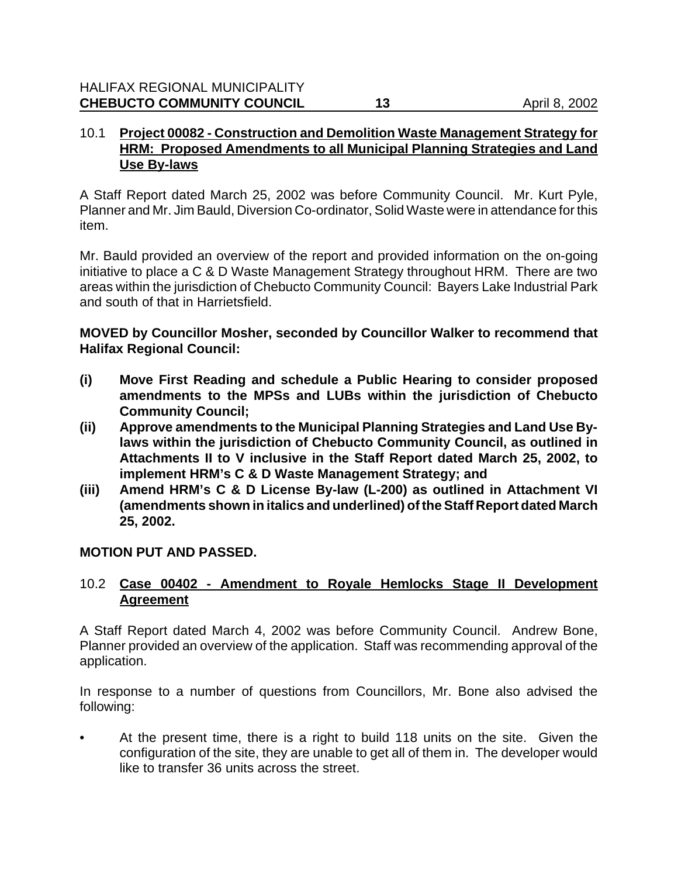# 10.1 **Project 00082 - Construction and Demolition Waste Management Strategy for HRM: Proposed Amendments to all Municipal Planning Strategies and Land Use By-laws**

A Staff Report dated March 25, 2002 was before Community Council. Mr. Kurt Pyle, Planner and Mr. Jim Bauld, Diversion Co-ordinator, Solid Waste were in attendance for this item.

Mr. Bauld provided an overview of the report and provided information on the on-going initiative to place a C & D Waste Management Strategy throughout HRM. There are two areas within the jurisdiction of Chebucto Community Council: Bayers Lake Industrial Park and south of that in Harrietsfield.

**MOVED by Councillor Mosher, seconded by Councillor Walker to recommend that Halifax Regional Council:**

- **(i) Move First Reading and schedule a Public Hearing to consider proposed amendments to the MPSs and LUBs within the jurisdiction of Chebucto Community Council;**
- **(ii) Approve amendments to the Municipal Planning Strategies and Land Use Bylaws within the jurisdiction of Chebucto Community Council, as outlined in Attachments II to V inclusive in the Staff Report dated March 25, 2002, to implement HRM's C & D Waste Management Strategy; and**
- **(iii) Amend HRM's C & D License By-law (L-200) as outlined in Attachment VI (amendments shown in italics and underlined) of the Staff Report dated March 25, 2002.**

# **MOTION PUT AND PASSED.**

# 10.2 **Case 00402 - Amendment to Royale Hemlocks Stage II Development Agreement**

A Staff Report dated March 4, 2002 was before Community Council. Andrew Bone, Planner provided an overview of the application. Staff was recommending approval of the application.

In response to a number of questions from Councillors, Mr. Bone also advised the following:

• At the present time, there is a right to build 118 units on the site. Given the configuration of the site, they are unable to get all of them in. The developer would like to transfer 36 units across the street.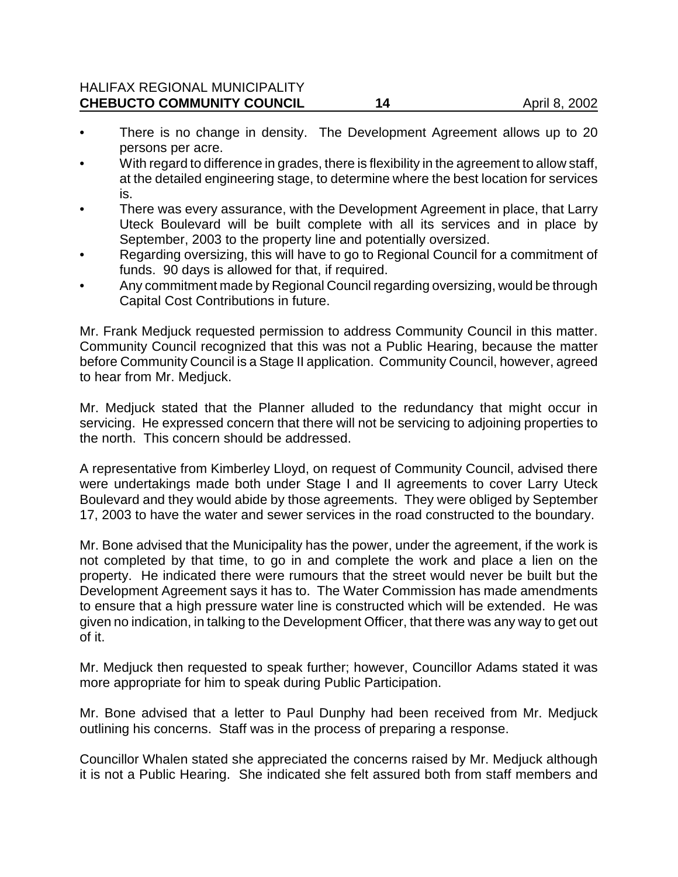#### HALIFAX REGIONAL MUNICIPALITY **CHEBUCTO COMMUNITY COUNCIL 14** 14 April 8, 2002

- There is no change in density. The Development Agreement allows up to 20 persons per acre.
- With regard to difference in grades, there is flexibility in the agreement to allow staff, at the detailed engineering stage, to determine where the best location for services is.
- There was every assurance, with the Development Agreement in place, that Larry Uteck Boulevard will be built complete with all its services and in place by September, 2003 to the property line and potentially oversized.
- Regarding oversizing, this will have to go to Regional Council for a commitment of funds. 90 days is allowed for that, if required.
- Any commitment made by Regional Council regarding oversizing, would be through Capital Cost Contributions in future.

Mr. Frank Medjuck requested permission to address Community Council in this matter. Community Council recognized that this was not a Public Hearing, because the matter before Community Council is a Stage II application. Community Council, however, agreed to hear from Mr. Medjuck.

Mr. Medjuck stated that the Planner alluded to the redundancy that might occur in servicing. He expressed concern that there will not be servicing to adjoining properties to the north. This concern should be addressed.

A representative from Kimberley Lloyd, on request of Community Council, advised there were undertakings made both under Stage I and II agreements to cover Larry Uteck Boulevard and they would abide by those agreements. They were obliged by September 17, 2003 to have the water and sewer services in the road constructed to the boundary.

Mr. Bone advised that the Municipality has the power, under the agreement, if the work is not completed by that time, to go in and complete the work and place a lien on the property. He indicated there were rumours that the street would never be built but the Development Agreement says it has to. The Water Commission has made amendments to ensure that a high pressure water line is constructed which will be extended. He was given no indication, in talking to the Development Officer, that there was any way to get out of it.

Mr. Medjuck then requested to speak further; however, Councillor Adams stated it was more appropriate for him to speak during Public Participation.

Mr. Bone advised that a letter to Paul Dunphy had been received from Mr. Medjuck outlining his concerns. Staff was in the process of preparing a response.

Councillor Whalen stated she appreciated the concerns raised by Mr. Medjuck although it is not a Public Hearing. She indicated she felt assured both from staff members and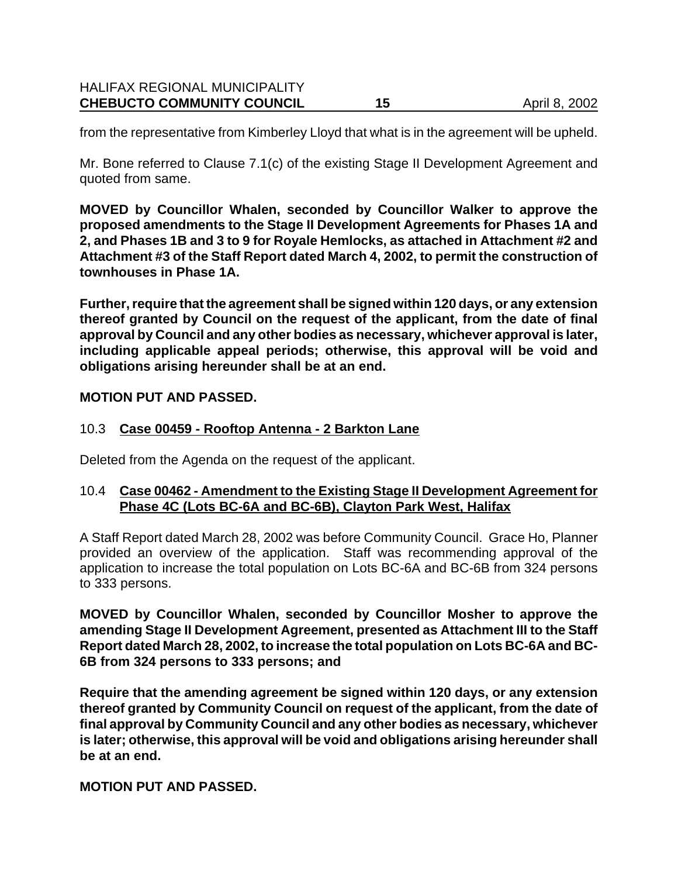from the representative from Kimberley Lloyd that what is in the agreement will be upheld.

Mr. Bone referred to Clause 7.1(c) of the existing Stage II Development Agreement and quoted from same.

**MOVED by Councillor Whalen, seconded by Councillor Walker to approve the proposed amendments to the Stage II Development Agreements for Phases 1A and 2, and Phases 1B and 3 to 9 for Royale Hemlocks, as attached in Attachment #2 and Attachment #3 of the Staff Report dated March 4, 2002, to permit the construction of townhouses in Phase 1A.**

**Further, require that the agreement shall be signed within 120 days, or any extension thereof granted by Council on the request of the applicant, from the date of final approval by Council and any other bodies as necessary, whichever approval is later, including applicable appeal periods; otherwise, this approval will be void and obligations arising hereunder shall be at an end.**

# **MOTION PUT AND PASSED.**

# 10.3 **Case 00459 - Rooftop Antenna - 2 Barkton Lane**

Deleted from the Agenda on the request of the applicant.

# 10.4 **Case 00462 - Amendment to the Existing Stage II Development Agreement for Phase 4C (Lots BC-6A and BC-6B), Clayton Park West, Halifax**

A Staff Report dated March 28, 2002 was before Community Council. Grace Ho, Planner provided an overview of the application. Staff was recommending approval of the application to increase the total population on Lots BC-6A and BC-6B from 324 persons to 333 persons.

**MOVED by Councillor Whalen, seconded by Councillor Mosher to approve the amending Stage II Development Agreement, presented as Attachment III to the Staff Report dated March 28, 2002, to increase the total population on Lots BC-6A and BC-6B from 324 persons to 333 persons; and**

**Require that the amending agreement be signed within 120 days, or any extension thereof granted by Community Council on request of the applicant, from the date of final approval by Community Council and any other bodies as necessary, whichever is later; otherwise, this approval will be void and obligations arising hereunder shall be at an end.** 

### **MOTION PUT AND PASSED.**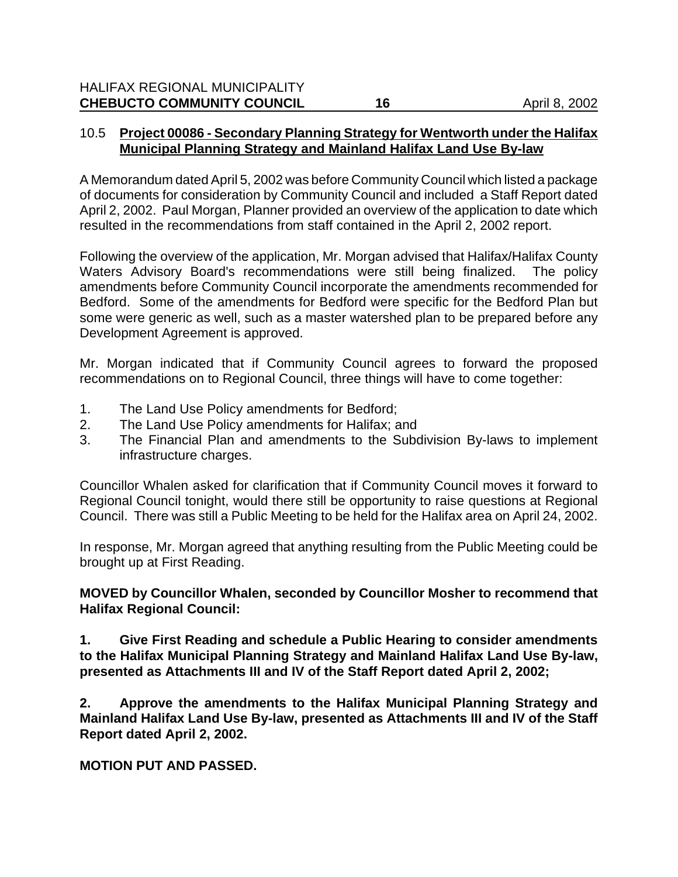### 10.5 **Project 00086 - Secondary Planning Strategy for Wentworth under the Halifax Municipal Planning Strategy and Mainland Halifax Land Use By-law**

A Memorandum dated April 5, 2002 was before Community Council which listed a package of documents for consideration by Community Council and included a Staff Report dated April 2, 2002. Paul Morgan, Planner provided an overview of the application to date which resulted in the recommendations from staff contained in the April 2, 2002 report.

Following the overview of the application, Mr. Morgan advised that Halifax/Halifax County Waters Advisory Board's recommendations were still being finalized. The policy amendments before Community Council incorporate the amendments recommended for Bedford. Some of the amendments for Bedford were specific for the Bedford Plan but some were generic as well, such as a master watershed plan to be prepared before any Development Agreement is approved.

Mr. Morgan indicated that if Community Council agrees to forward the proposed recommendations on to Regional Council, three things will have to come together:

- 1. The Land Use Policy amendments for Bedford;
- 2. The Land Use Policy amendments for Halifax; and
- 3. The Financial Plan and amendments to the Subdivision By-laws to implement infrastructure charges.

Councillor Whalen asked for clarification that if Community Council moves it forward to Regional Council tonight, would there still be opportunity to raise questions at Regional Council. There was still a Public Meeting to be held for the Halifax area on April 24, 2002.

In response, Mr. Morgan agreed that anything resulting from the Public Meeting could be brought up at First Reading.

**MOVED by Councillor Whalen, seconded by Councillor Mosher to recommend that Halifax Regional Council:**

**1. Give First Reading and schedule a Public Hearing to consider amendments to the Halifax Municipal Planning Strategy and Mainland Halifax Land Use By-law, presented as Attachments III and IV of the Staff Report dated April 2, 2002;**

**2. Approve the amendments to the Halifax Municipal Planning Strategy and Mainland Halifax Land Use By-law, presented as Attachments III and IV of the Staff Report dated April 2, 2002.**

**MOTION PUT AND PASSED.**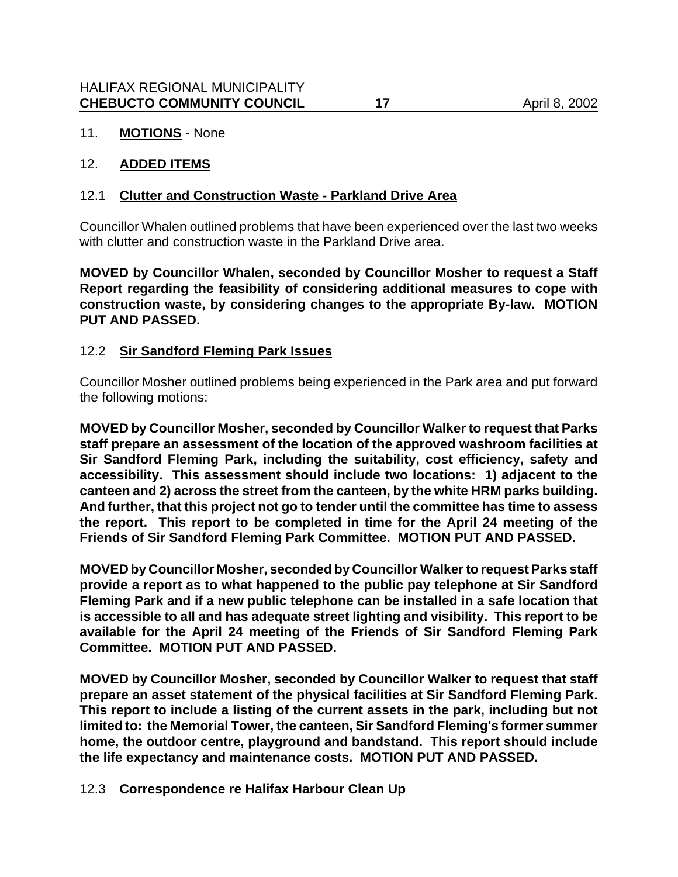# 11. **MOTIONS** - None

### 12. **ADDED ITEMS**

### 12.1 **Clutter and Construction Waste - Parkland Drive Area**

Councillor Whalen outlined problems that have been experienced over the last two weeks with clutter and construction waste in the Parkland Drive area.

**MOVED by Councillor Whalen, seconded by Councillor Mosher to request a Staff Report regarding the feasibility of considering additional measures to cope with construction waste, by considering changes to the appropriate By-law. MOTION PUT AND PASSED.**

# 12.2 **Sir Sandford Fleming Park Issues**

Councillor Mosher outlined problems being experienced in the Park area and put forward the following motions:

**MOVED by Councillor Mosher, seconded by Councillor Walker to request that Parks staff prepare an assessment of the location of the approved washroom facilities at Sir Sandford Fleming Park, including the suitability, cost efficiency, safety and accessibility. This assessment should include two locations: 1) adjacent to the canteen and 2) across the street from the canteen, by the white HRM parks building. And further, that this project not go to tender until the committee has time to assess the report. This report to be completed in time for the April 24 meeting of the Friends of Sir Sandford Fleming Park Committee. MOTION PUT AND PASSED.**

**MOVED by Councillor Mosher, seconded by Councillor Walker to request Parks staff provide a report as to what happened to the public pay telephone at Sir Sandford Fleming Park and if a new public telephone can be installed in a safe location that is accessible to all and has adequate street lighting and visibility. This report to be available for the April 24 meeting of the Friends of Sir Sandford Fleming Park Committee. MOTION PUT AND PASSED.**

**MOVED by Councillor Mosher, seconded by Councillor Walker to request that staff prepare an asset statement of the physical facilities at Sir Sandford Fleming Park. This report to include a listing of the current assets in the park, including but not limited to: the Memorial Tower, the canteen, Sir Sandford Fleming's former summer home, the outdoor centre, playground and bandstand. This report should include the life expectancy and maintenance costs. MOTION PUT AND PASSED.**

### 12.3 **Correspondence re Halifax Harbour Clean Up**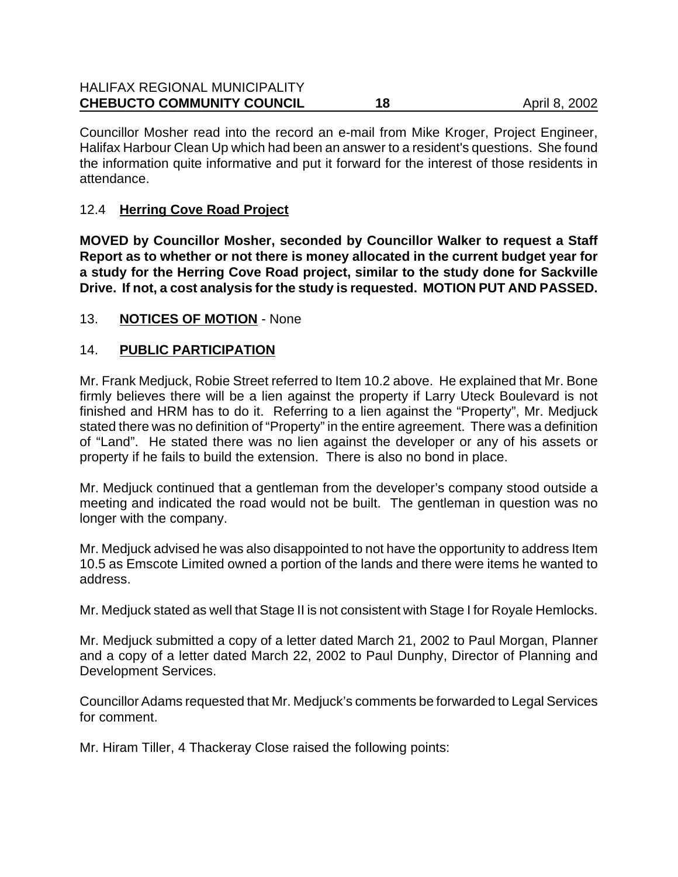| <b>HALIFAX REGIONAL MUNICIPALITY</b><br><b>CHEBUCTO COMMUNITY COUNCIL</b> | 18 | April 8, 2002 |
|---------------------------------------------------------------------------|----|---------------|
|                                                                           |    |               |

Councillor Mosher read into the record an e-mail from Mike Kroger, Project Engineer, Halifax Harbour Clean Up which had been an answer to a resident's questions. She found the information quite informative and put it forward for the interest of those residents in attendance.

# 12.4 **Herring Cove Road Project**

**MOVED by Councillor Mosher, seconded by Councillor Walker to request a Staff Report as to whether or not there is money allocated in the current budget year for a study for the Herring Cove Road project, similar to the study done for Sackville Drive. If not, a cost analysis for the study is requested. MOTION PUT AND PASSED.**

# 13. **NOTICES OF MOTION** - None

# 14. **PUBLIC PARTICIPATION**

Mr. Frank Medjuck, Robie Street referred to Item 10.2 above. He explained that Mr. Bone firmly believes there will be a lien against the property if Larry Uteck Boulevard is not finished and HRM has to do it. Referring to a lien against the "Property", Mr. Medjuck stated there was no definition of "Property" in the entire agreement. There was a definition of "Land". He stated there was no lien against the developer or any of his assets or property if he fails to build the extension. There is also no bond in place.

Mr. Medjuck continued that a gentleman from the developer's company stood outside a meeting and indicated the road would not be built. The gentleman in question was no longer with the company.

Mr. Medjuck advised he was also disappointed to not have the opportunity to address Item 10.5 as Emscote Limited owned a portion of the lands and there were items he wanted to address.

Mr. Medjuck stated as well that Stage II is not consistent with Stage I for Royale Hemlocks.

Mr. Medjuck submitted a copy of a letter dated March 21, 2002 to Paul Morgan, Planner and a copy of a letter dated March 22, 2002 to Paul Dunphy, Director of Planning and Development Services.

Councillor Adams requested that Mr. Medjuck's comments be forwarded to Legal Services for comment.

Mr. Hiram Tiller, 4 Thackeray Close raised the following points: